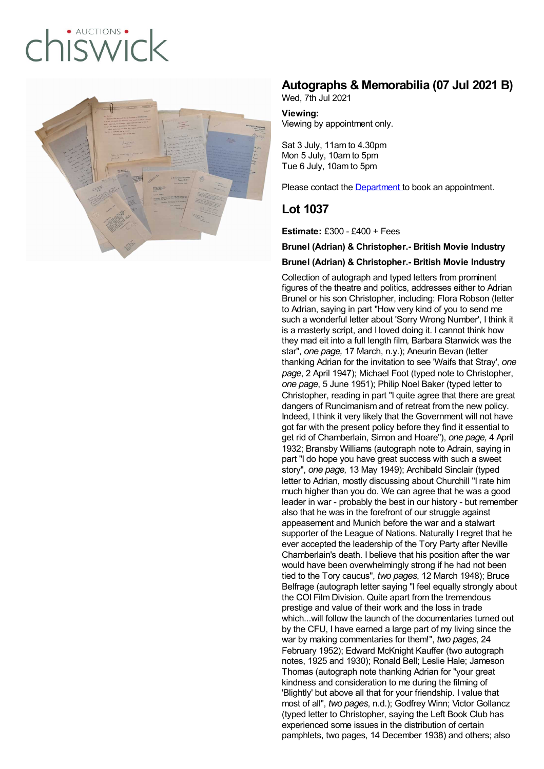# $ALICTIONS$ ISWICK



## **Autographs & Memorabilia (07 Jul 2021 B)**

Wed, 7th Jul 2021

**Viewing:** Viewing by appointment only.

Sat 3 July, 11am to 4.30pm Mon 5 July, 10am to 5pm Tue 6 July, 10am to 5pm

Please contact the [Department](mailto:valentina.borghi@chiswickauctions.co.uk ) to book an appointment.

## **Lot 1037**

**Estimate:** £300 - £400 + Fees

#### **Brunel (Adrian) & Christopher.- British Movie Industry**

#### **Brunel (Adrian) & Christopher.- British Movie Industry**

Collection of autograph and typed letters from prominent figures of the theatre and politics, addresses either to Adrian Brunel or his son Christopher, including: Flora Robson (letter to Adrian, saying in part "How very kind of you to send me such a wonderful letter about 'Sorry Wrong Number', I think it is a masterly script, and I loved doing it. I cannot think how they mad eit into a full length film, Barbara Stanwick was the star", *one page,* 17 March, n.y.); Aneurin Bevan (letter thanking Adrian for the invitation to see 'Waifs that Stray', *one page*, 2 April 1947); Michael Foot (typed note to Christopher, *one page*, 5 June 1951); Philip Noel Baker (typed letter to Christopher, reading in part "I quite agree that there are great dangers of Runcimanism and of retreat from the new policy. Indeed, I think it very likely that the Government will not have got far with the present policy before they find it essential to get rid of Chamberlain, Simon and Hoare"), *one page,* 4 April 1932; Bransby Williams (autograph note to Adrain, saying in part "I do hope you have great success with such a sweet story", *one page,* 13 May 1949); Archibald Sinclair (typed letter to Adrian, mostly discussing about Churchill "I rate him much higher than you do. We can agree that he was a good leader in war - probably the best in our history - but remember also that he was in the forefront of our struggle against appeasement and Munich before the war and a stalwart supporter of the League of Nations. Naturally I regret that he ever accepted the leadership of the Tory Party after Neville Chamberlain's death. I believe that his position after the war would have been overwhelmingly strong if he had not been tied to the Tory caucus", *two pages*, 12 March 1948); Bruce Belfrage (autograph letter saying "I feel equally strongly about the COI Film Division. Quite apart from the tremendous prestige and value of their work and the loss in trade which...will follow the launch of the documentaries turned out by the CFU, I have earned a large part of my living since the war by making commentaries for them!", *two pages*, 24 February 1952); Edward McKnight Kauffer (two autograph notes, 1925 and 1930); Ronald Bell; Leslie Hale; Jameson Thomas (autograph note thanking Adrian for "your great kindness and consideration to me during the filming of 'Blightly' but above all that for your friendship. I value that most of all", *two pages*, n.d.); Godfrey Winn; Victor Gollancz (typed letter to Christopher, saying the Left Book Club has experienced some issues in the distribution of certain pamphlets, two pages, 14 December 1938) and others; also